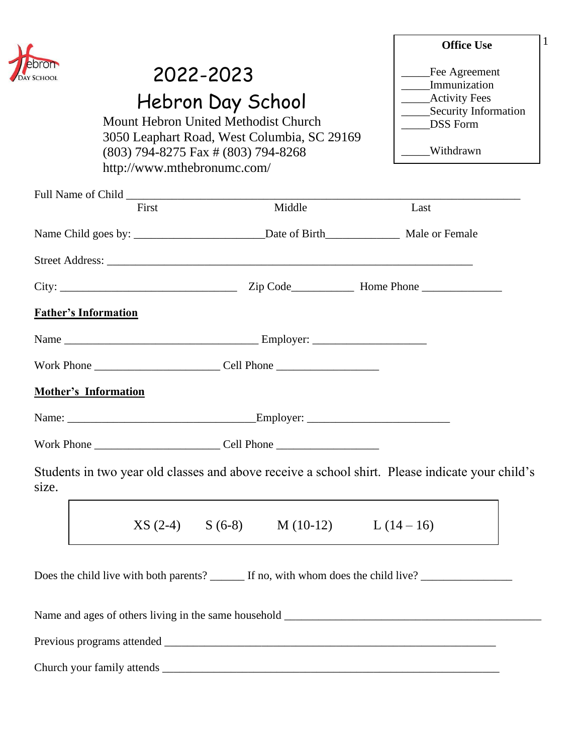

# 2022-2023

Hebron Day School

Mount Hebron United Methodist Church 3050 Leaphart Road, West Columbia, SC 29169 (803) 794-8275 Fax # (803) 794-8268 http://www.mthebronumc.com/

| <b>Office Use</b>    |  |
|----------------------|--|
| Fee Agreement        |  |
| Immunization         |  |
| <b>Activity Fees</b> |  |
| Security Information |  |
| <b>DSS</b> Form      |  |
|                      |  |
| Withdrawn            |  |

|                                                                                                                                                                                                                                | First | Middle                                       | Last |  |
|--------------------------------------------------------------------------------------------------------------------------------------------------------------------------------------------------------------------------------|-------|----------------------------------------------|------|--|
|                                                                                                                                                                                                                                |       |                                              |      |  |
|                                                                                                                                                                                                                                |       |                                              |      |  |
|                                                                                                                                                                                                                                |       |                                              |      |  |
| <b>Father's Information</b>                                                                                                                                                                                                    |       |                                              |      |  |
|                                                                                                                                                                                                                                |       |                                              |      |  |
|                                                                                                                                                                                                                                |       |                                              |      |  |
| <b>Mother's Information</b>                                                                                                                                                                                                    |       |                                              |      |  |
|                                                                                                                                                                                                                                |       |                                              |      |  |
|                                                                                                                                                                                                                                |       |                                              |      |  |
| Students in two year old classes and above receive a school shirt. Please indicate your child's<br>size.                                                                                                                       |       |                                              |      |  |
|                                                                                                                                                                                                                                |       | $XS (2-4)$ $S (6-8)$ $M (10-12)$ $L (14-16)$ |      |  |
| Does the child live with both parents? ______ If no, with whom does the child live? ________________                                                                                                                           |       |                                              |      |  |
|                                                                                                                                                                                                                                |       |                                              |      |  |
| Previous programs attended Theorem and Theorem and Theorem and Theorem and Theorem and Theorem and Theorem and Theorem and Theorem and Theorem and Theorem and Theorem and Theorem and Theorem and Theorem and Theorem and The |       |                                              |      |  |

Church your family attends \_\_\_\_\_\_\_\_\_\_\_\_\_\_\_\_\_\_\_\_\_\_\_\_\_\_\_\_\_\_\_\_\_\_\_\_\_\_\_\_\_\_\_\_\_\_\_\_\_\_\_\_\_\_\_\_\_\_\_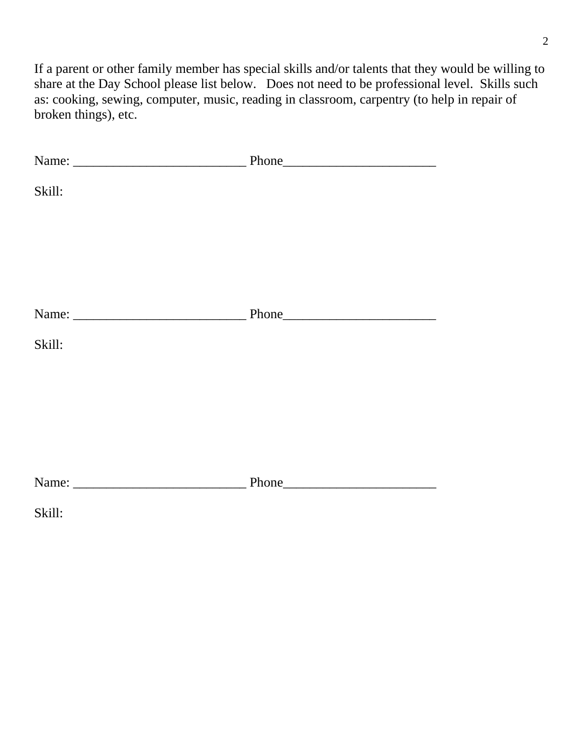If a parent or other family member has special skills and/or talents that they would be willing to share at the Day School please list below. Does not need to be professional level. Skills such as: cooking, sewing, computer, music, reading in classroom, carpentry (to help in repair of broken things), etc.

| Skill: |  |
|--------|--|
|        |  |
|        |  |
|        |  |
| Skill: |  |
|        |  |
|        |  |
|        |  |
|        |  |
| Skill: |  |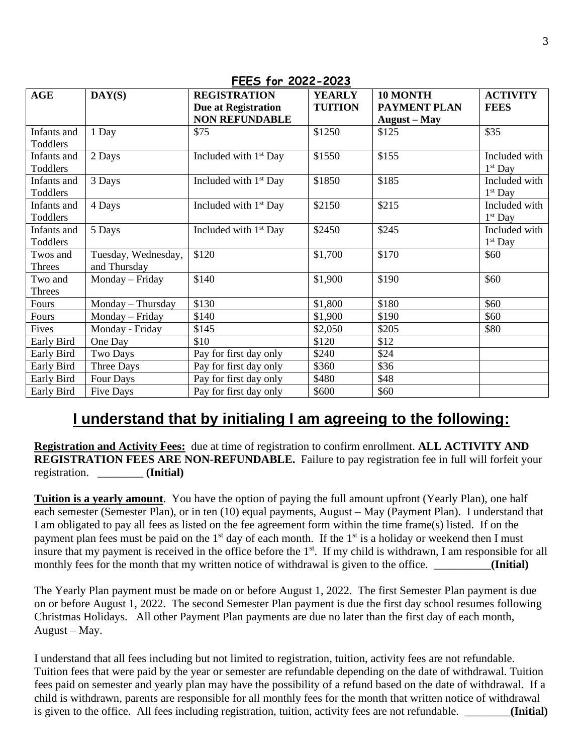| <b>AGE</b>              | $\mathbf{DAY}(\mathbf{S})$          | <b>REGISTRATION</b>               | <b>YEARLY</b>  | 10 MONTH            | <b>ACTIVITY</b>            |
|-------------------------|-------------------------------------|-----------------------------------|----------------|---------------------|----------------------------|
|                         |                                     | <b>Due at Registration</b>        | <b>TUITION</b> | <b>PAYMENT PLAN</b> | <b>FEES</b>                |
|                         |                                     | <b>NON REFUNDABLE</b>             |                | <b>August</b> – May |                            |
| Infants and<br>Toddlers | 1 Day                               | \$75                              | \$1250         | \$125               | \$35                       |
| Infants and<br>Toddlers | 2 Days                              | Included with $1st$ Day           | \$1550         | \$155               | Included with<br>$1st$ Day |
| Infants and<br>Toddlers | 3 Days                              | Included with $1st$ Day           | \$1850         | \$185               | Included with<br>$1st$ Day |
| Infants and<br>Toddlers | 4 Days                              | Included with 1 <sup>st</sup> Day | \$2150         | \$215               | Included with<br>$1st$ Day |
| Infants and<br>Toddlers | 5 Days                              | Included with 1 <sup>st</sup> Day | \$2450         | \$245               | Included with<br>$1st$ Day |
| Twos and<br>Threes      | Tuesday, Wednesday,<br>and Thursday | \$120                             | \$1,700        | \$170               | \$60                       |
| Two and<br>Threes       | Monday - Friday                     | \$140                             | \$1,900        | \$190               | \$60                       |
| Fours                   | Monday - Thursday                   | \$130                             | \$1,800        | \$180               | \$60                       |
| Fours                   | Monday - Friday                     | \$140                             | \$1,900        | \$190               | \$60                       |
| Fives                   | Monday - Friday                     | \$145                             | \$2,050        | \$205               | \$80                       |
| Early Bird              | One Day                             | \$10                              | \$120          | \$12                |                            |
| Early Bird              | Two Days                            | Pay for first day only            | \$240          | \$24                |                            |
| Early Bird              | Three Days                          | Pay for first day only            | \$360          | \$36                |                            |
| Early Bird              | Four Days                           | Pay for first day only            | \$480          | \$48                |                            |
| Early Bird              | <b>Five Days</b>                    | Pay for first day only            | \$600          | \$60                |                            |

#### **FEES for 2022-2023**

## **I understand that by initialing I am agreeing to the following:**

**Registration and Activity Fees:** due at time of registration to confirm enrollment. **ALL ACTIVITY AND REGISTRATION FEES ARE NON-REFUNDABLE.** Failure to pay registration fee in full will forfeit your registration. \_\_\_\_\_\_\_\_ **(Initial)**

**Tuition is a yearly amount**. You have the option of paying the full amount upfront (Yearly Plan), one half each semester (Semester Plan), or in ten (10) equal payments, August – May (Payment Plan). I understand that I am obligated to pay all fees as listed on the fee agreement form within the time frame(s) listed. If on the payment plan fees must be paid on the  $1<sup>st</sup>$  day of each month. If the  $1<sup>st</sup>$  is a holiday or weekend then I must insure that my payment is received in the office before the 1<sup>st</sup>. If my child is withdrawn, I am responsible for all monthly fees for the month that my written notice of withdrawal is given to the office. **Initial**  $\blacksquare$ 

The Yearly Plan payment must be made on or before August 1, 2022. The first Semester Plan payment is due on or before August 1, 2022. The second Semester Plan payment is due the first day school resumes following Christmas Holidays. All other Payment Plan payments are due no later than the first day of each month, August – May.

I understand that all fees including but not limited to registration, tuition, activity fees are not refundable. Tuition fees that were paid by the year or semester are refundable depending on the date of withdrawal. Tuition fees paid on semester and yearly plan may have the possibility of a refund based on the date of withdrawal. If a child is withdrawn, parents are responsible for all monthly fees for the month that written notice of withdrawal is given to the office. All fees including registration, tuition, activity fees are not refundable. \_\_\_\_\_\_\_\_**(Initial)**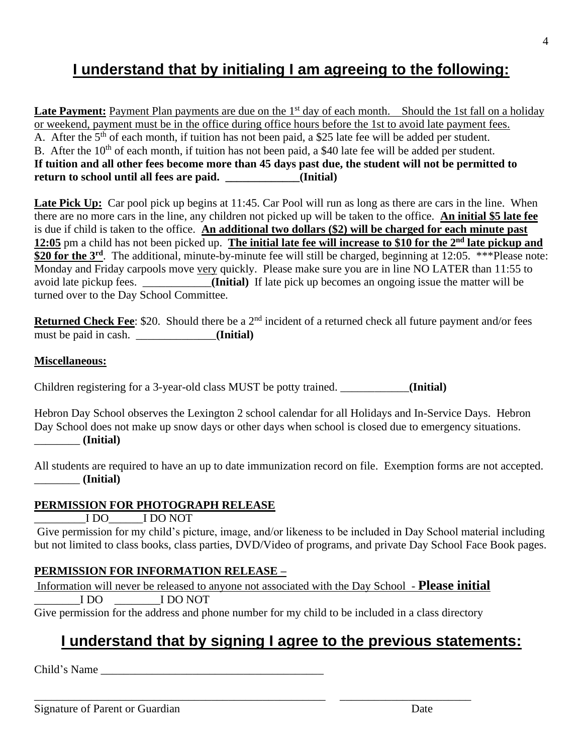## **I understand that by initialing I am agreeing to the following:**

**Late Payment:** Payment Plan payments are due on the 1<sup>st</sup> day of each month. Should the 1st fall on a holiday or weekend, payment must be in the office during office hours before the 1st to avoid late payment fees. A. After the  $5<sup>th</sup>$  of each month, if tuition has not been paid, a \$25 late fee will be added per student. B. After the  $10<sup>th</sup>$  of each month, if tuition has not been paid, a \$40 late fee will be added per student. **If tuition and all other fees become more than 45 days past due, the student will not be permitted to return to school until all fees are paid. \_\_\_\_\_\_\_\_\_\_\_\_\_(Initial)**

Late Pick Up: Car pool pick up begins at 11:45. Car Pool will run as long as there are cars in the line. When there are no more cars in the line, any children not picked up will be taken to the office. **An initial \$5 late fee** is due if child is taken to the office. **An additional two dollars (\$2) will be charged for each minute past 12:05** pm a child has not been picked up. **The initial late fee will increase to \$10 for the 2nd late pickup and**  \$20 for the 3<sup>rd</sup>. The additional, minute-by-minute fee will still be charged, beginning at 12:05. \*\*\*Please note: Monday and Friday carpools move very quickly. Please make sure you are in line NO LATER than 11:55 to avoid late pickup fees. \_\_\_\_\_\_\_\_\_\_\_\_**(Initial)** If late pick up becomes an ongoing issue the matter will be turned over to the Day School Committee.

**Returned Check Fee**: \$20. Should there be a 2<sup>nd</sup> incident of a returned check all future payment and/or fees must be paid in cash. \_\_\_\_\_\_\_\_\_\_\_\_\_\_**(Initial)**

#### **Miscellaneous:**

Children registering for a 3-year-old class MUST be potty trained. \_\_\_\_\_\_\_\_\_\_\_\_**(Initial)**

Hebron Day School observes the Lexington 2 school calendar for all Holidays and In-Service Days. Hebron Day School does not make up snow days or other days when school is closed due to emergency situations. \_\_\_\_\_\_\_\_ **(Initial)**

All students are required to have an up to date immunization record on file. Exemption forms are not accepted. \_\_\_\_\_\_\_\_ **(Initial)**

#### **PERMISSION FOR PHOTOGRAPH RELEASE**

\_\_\_\_\_\_\_\_\_I DO\_\_\_\_\_\_I DO NOT

Give permission for my child's picture, image, and/or likeness to be included in Day School material including but not limited to class books, class parties, DVD/Video of programs, and private Day School Face Book pages.

#### **PERMISSION FOR INFORMATION RELEASE –**

Information will never be released to anyone not associated with the Day School - **Please initial** \_\_\_\_\_\_\_\_I DO \_\_\_\_\_\_\_\_I DO NOT

Give permission for the address and phone number for my child to be included in a class directory

\_\_\_\_\_\_\_\_\_\_\_\_\_\_\_\_\_\_\_\_\_\_\_\_\_\_\_\_\_\_\_\_\_\_\_\_\_\_\_\_\_\_\_\_\_\_\_\_\_\_\_ \_\_\_\_\_\_\_\_\_\_\_\_\_\_\_\_\_\_\_\_\_\_\_

## **I understand that by signing I agree to the previous statements:**

Child's Name

4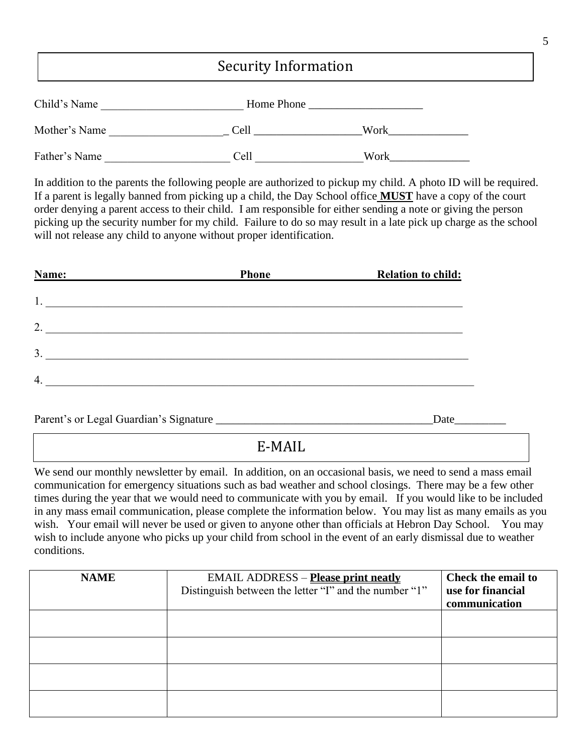### Security Information

| Child's Name  | Home Phone |      |
|---------------|------------|------|
| Mother's Name | Cell       | Work |
| Father's Name | Cell       | Work |

In addition to the parents the following people are authorized to pickup my child. A photo ID will be required. If a parent is legally banned from picking up a child, the Day School office **MUST** have a copy of the court order denying a parent access to their child. I am responsible for either sending a note or giving the person picking up the security number for my child. Failure to do so may result in a late pick up charge as the school will not release any child to anyone without proper identification.

| Name: | <b>Phone</b> | <b>Relation to child:</b> |
|-------|--------------|---------------------------|
|       |              |                           |
| 1.    |              |                           |
| 2.    |              |                           |
|       |              |                           |
| 3.    |              |                           |
|       |              |                           |
| 4.    |              |                           |

| Parent's or Legal Guardian's Signature | Jate |
|----------------------------------------|------|
|                                        |      |

E-MAIL

We send our monthly newsletter by email. In addition, on an occasional basis, we need to send a mass email communication for emergency situations such as bad weather and school closings. There may be a few other times during the year that we would need to communicate with you by email. If you would like to be included in any mass email communication, please complete the information below. You may list as many emails as you wish. Your email will never be used or given to anyone other than officials at Hebron Day School. You may wish to include anyone who picks up your child from school in the event of an early dismissal due to weather conditions.

| <b>NAME</b> | <b>EMAIL ADDRESS</b> – <b>Please print neatly</b><br>Distinguish between the letter "I" and the number "1" | <b>Check the email to</b><br>use for financial<br>communication |
|-------------|------------------------------------------------------------------------------------------------------------|-----------------------------------------------------------------|
|             |                                                                                                            |                                                                 |
|             |                                                                                                            |                                                                 |
|             |                                                                                                            |                                                                 |
|             |                                                                                                            |                                                                 |